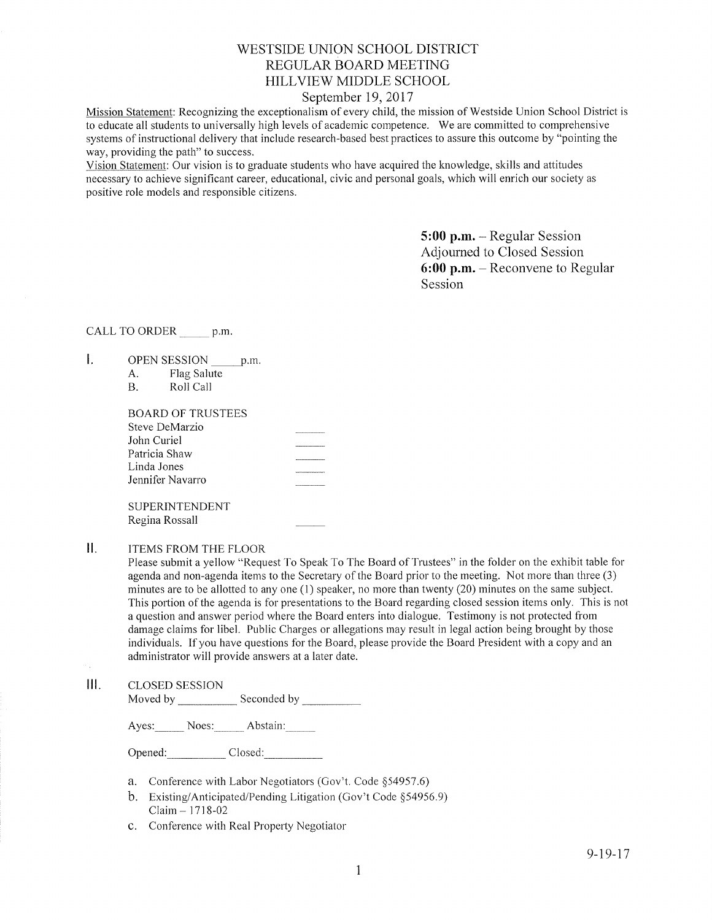# WESTSIDE UNION SCHOOL DISTRICT REGULAR BOARD MEETING HILLVIEW MIDDLE SCHOOL

## September 19, 2017

Mission Statement: Recognizing the exceptionalism of every child, the mission of Westside Union School District is to educate all students to universally high levels of academic competence. We are committed to comprehensive systems of instructional delivery that include research-based best practices to assure this outcome by "pointing the way, providing the path" to success.

Vision Statement: Our vision is to graduate students who have acquired the knowledge, skills and attitudes necessary to achieve significant career, educational, civic and personal goals, which will enrich our society as positive role models and responsible citizens.

> 5:00 p.m. - Regular Session Adjourned to Closed Session 6:00 p.m. - Reconvene to Regular Session

# CALL TO ORDER \_\_\_\_\_\_ p.m

- $\mathbf{L}$ OPEN SESSION p.m.
	- A. Flag Salute<br>B. Roll Call
	-

| BOARD OF TRUSTEES |  |
|-------------------|--|
| Steve DeMarzio    |  |
| John Curiel       |  |
| Patricia Shaw     |  |
| Linda Jones       |  |
| Jennifer Navarro  |  |
|                   |  |
| SUPERINTENDENT    |  |

Regina Rossall

#### $II.$ ITEMS FROM THE FLOOR

Please submìt a yellow "Request To Speak To The Board of Trustees" in the folder on the exhibit table for agenda and non-agenda items to the Secretary of the Board prior to the meeting. Not more than three (3) minutes are to be allotted to any one  $(1)$  speaker, no more than twenty  $(20)$  minutes on the same subject. This portion of the agenda is for presentations to the Board regarding closed session items only. This is not a question and answer period where the Board enters into dialogue. Testimony is not protected from damage claims for libel. Public Charges or allegations may result in legal action being brought by those individuals. If you have questions for the Board, please provide the Board President with a copy and an administrator will provide answers at a later date.

III. CLoSED SESSIoN Moved by Seconded by

Ayes: Noes: Abstain:

Opened: Closed:

- a. Conference with Labor Negotiators (Gov't. Code §54957.6)
- b. Existing/Anticipated/Pending Litigation (Gov't Code \$54956.9)  $Claim - 1718-02$
- c. Conference with Real Property Negotiator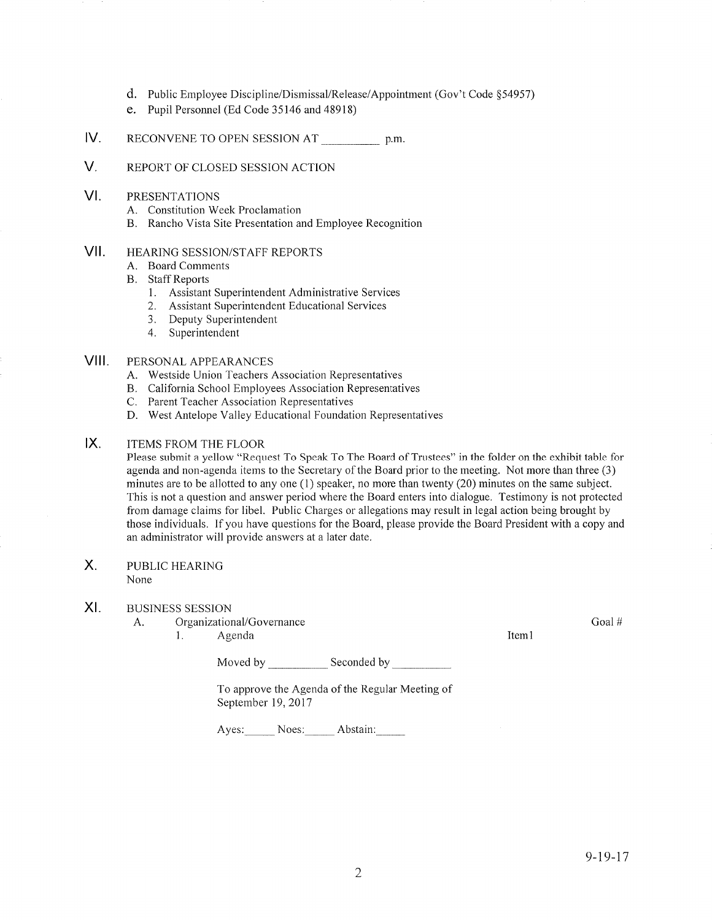- d. Public Employee Discipline/Dismissal/Release/Appointment (Gov't Code \$54957)
- e. Pupil Personnel (Ed Code 35146 and 48918)
- IV RECONVENE TO OPEN SESSION AT p.m.
- V. REPORT OF CLOSED SESSION ACTION
- VI PRESENTATIONS
	- A. Constitution Week Proclamation
	- B. Rancho Vista Site Presentation and Ernployee Recognition
- vil HEARING SESSION/STAFF REPORTS
	- A. Board Comments
	- B. Staff Reports
		- 1. Assistant Superintendent Administrative Services
		- 2. Assistant Superintendent Educational Services
		- 3. Deputy Superintendent
		- 4. Superintendent

#### VIII. PERSONAL APPEARANCES

- A. Westside Union Teachers Association Representatives
- B. California School Employees Association Representatives C. Parent Teacher Association Representatives
- 
- D. West Antelope Valley Educational Foundation Representatives

#### lx. ITEMS FROM THE FLOOR

Please submit a yellow "Request To Speak To The Board of Trustees" in the folder on the exhibit table for agenda and non-agenda items to the Secretary of the Board prior to the meeting. Not more than three (3) minutes are to be allotted to any one (1) speaker, no more than twenty (20) minutes on the same subject. This is not a question and answer period where the Board enters into dialogue. Testimony is not protected from damage claims for libel. Public Charges or allegations may result in legal action being brought by those individuals. If you have questions for the Board, please provide the Board President with a copy and an administrator will provide answers at a later date.

#### $X_{1}$ PUBLIC HEARING None

#### XI BUSINESS SESSION

A. Organizational/Governance

1. Agenda 11. aastal 11. aastal 11. aastal 11. aastal 11. aastal 11. aastal 11. aastal 11. aastal 11. aastal 1

Goal#

Moved by Seconded by

To approve the Agenda of the Reguìar Meeting of September 19, 2017

Ayes: Noes; Abstain:\_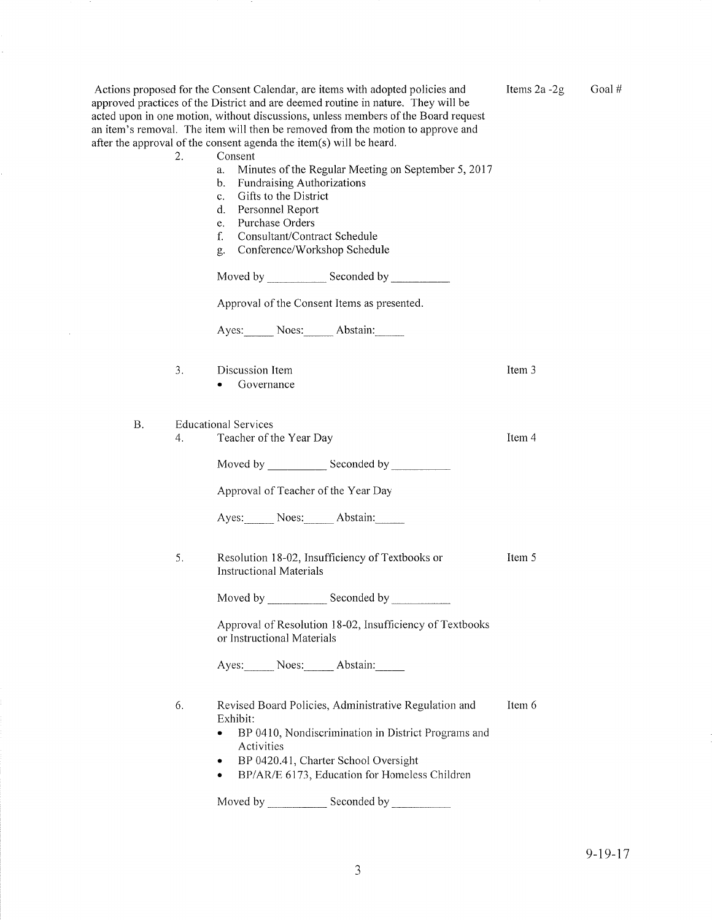| 2.              | Actions proposed for the Consent Calendar, are items with adopted policies and<br>approved practices of the District and are deemed routine in nature. They will be<br>acted upon in one motion, without discussions, unless members of the Board request<br>an item's removal. The item will then be removed from the motion to approve and<br>after the approval of the consent agenda the item(s) will be heard.<br>Consent<br>Minutes of the Regular Meeting on September 5, 2017<br>a.<br>Fundraising Authorizations<br>b.<br>c. Gifts to the District<br>d. Personnel Report<br>Purchase Orders<br>e.<br>Consultant/Contract Schedule<br>f.<br>Conference/Workshop Schedule<br>g.<br>Approval of the Consent Items as presented.<br>Ayes: Noes: Abstain: | Items 2a -2g | Goal# |
|-----------------|----------------------------------------------------------------------------------------------------------------------------------------------------------------------------------------------------------------------------------------------------------------------------------------------------------------------------------------------------------------------------------------------------------------------------------------------------------------------------------------------------------------------------------------------------------------------------------------------------------------------------------------------------------------------------------------------------------------------------------------------------------------|--------------|-------|
| 3.              | Discussion Item<br>Governance                                                                                                                                                                                                                                                                                                                                                                                                                                                                                                                                                                                                                                                                                                                                  | Item 3       |       |
| <b>B.</b><br>4. | <b>Educational Services</b><br>Teacher of the Year Day<br>Approval of Teacher of the Year Day<br>Ayes: Noes: Abstain:                                                                                                                                                                                                                                                                                                                                                                                                                                                                                                                                                                                                                                          | Item 4       |       |
| 5.              | Resolution 18-02, Insufficiency of Textbooks or<br><b>Instructional Materials</b><br>Approval of Resolution 18-02, Insufficiency of Textbooks<br>or Instructional Materials<br>Ayes: Noes: Abstain:                                                                                                                                                                                                                                                                                                                                                                                                                                                                                                                                                            | Item 5       |       |
| 6.              | Revised Board Policies, Administrative Regulation and<br>Exhibit:<br>BP 0410, Nondiscrimination in District Programs and<br>Activities<br>BP 0420.41, Charter School Oversight<br>٠<br>BP/AR/E 6173, Education for Homeless Children<br>٠                                                                                                                                                                                                                                                                                                                                                                                                                                                                                                                      | Item 6       |       |

k,

Moved by \_\_\_\_\_\_\_\_\_\_\_\_\_ Seconded by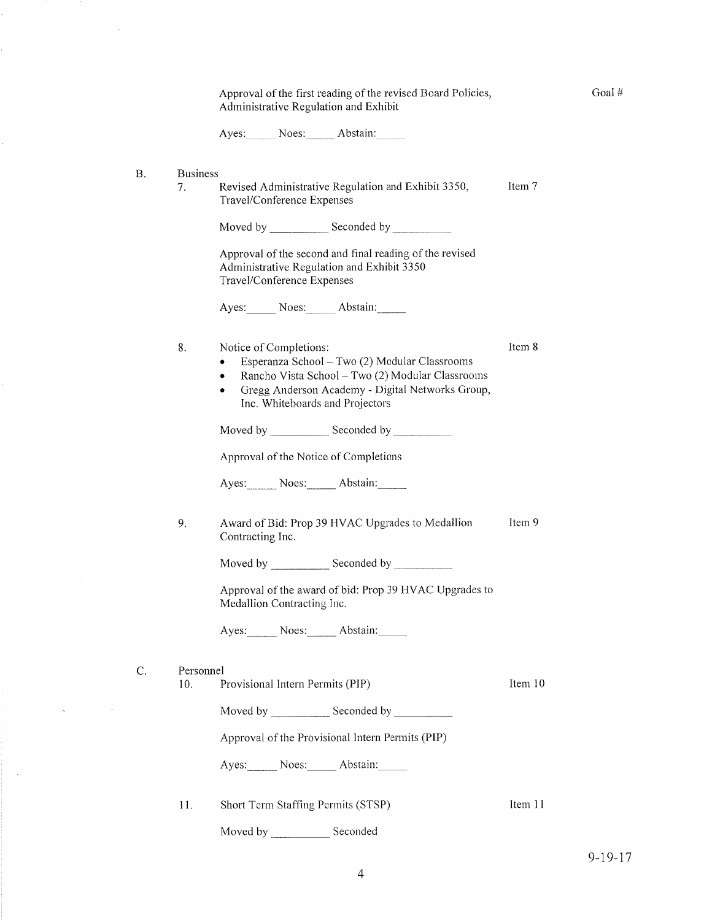|           |                       | Approval of the first reading of the revised Board Policies,<br>Administrative Regulation and Exhibit                                                                                                                                     | Goal#   |
|-----------|-----------------------|-------------------------------------------------------------------------------------------------------------------------------------------------------------------------------------------------------------------------------------------|---------|
|           |                       | Ayes: Noes: Abstain:                                                                                                                                                                                                                      |         |
| <b>B.</b> | <b>Business</b><br>7. | Revised Administrative Regulation and Exhibit 3350,<br>Travel/Conference Expenses                                                                                                                                                         | Item 7  |
|           |                       |                                                                                                                                                                                                                                           |         |
|           |                       | Approval of the second and final reading of the revised<br>Administrative Regulation and Exhibit 3350<br>Travel/Conference Expenses                                                                                                       |         |
|           |                       | Ayes: Noes: Abstain:                                                                                                                                                                                                                      |         |
|           | 8.                    | Notice of Completions:<br>Esperanza School - Two (2) Modular Classrooms<br>٠<br>Rancho Vista School - Two (2) Modular Classrooms<br>٠<br>Gregg Anderson Academy - Digital Networks Group,<br>$\bullet$<br>Inc. Whiteboards and Projectors | Item 8  |
|           |                       |                                                                                                                                                                                                                                           |         |
|           |                       | Approval of the Notice of Completions                                                                                                                                                                                                     |         |
|           |                       | Ayes: Noes: Abstain:                                                                                                                                                                                                                      |         |
|           | 9.                    | Award of Bid: Prop 39 HVAC Upgrades to Medallion<br>Contracting Inc.                                                                                                                                                                      | Item 9  |
|           |                       |                                                                                                                                                                                                                                           |         |
|           |                       | Approval of the award of bid: Prop 39 HVAC Upgrades to<br>Medallion Contracting Inc.                                                                                                                                                      |         |
|           |                       | Ayes: Noes: Abstain:                                                                                                                                                                                                                      |         |
| C.        | Personnel<br>10.      | Provisional Intern Permits (PIP)                                                                                                                                                                                                          | Item 10 |
|           |                       |                                                                                                                                                                                                                                           |         |
|           |                       | Approval of the Provisional Intern Permits (PIP)                                                                                                                                                                                          |         |
|           |                       | Ayes: Noes: Abstain:                                                                                                                                                                                                                      |         |
|           | 11.                   | Short Term Staffing Permits (STSP)                                                                                                                                                                                                        | Item 11 |
|           |                       | Seconded                                                                                                                                                                                                                                  |         |

 $\bar{z}$ 

l,